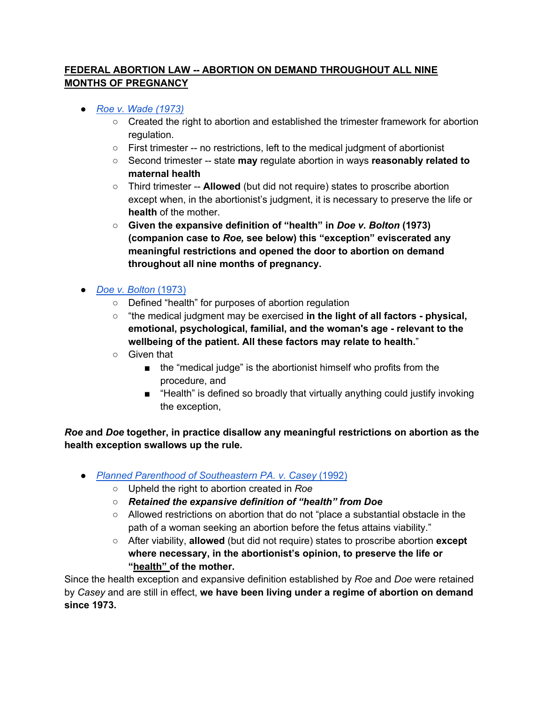## **FEDERAL ABORTION LAW -- ABORTION ON DEMAND THROUGHOUT ALL NINE MONTHS OF PREGNANCY**

- *Roe v. Wade (1973)*
	- Created the right to abortion and established the trimester framework for abortion regulation.
	- First trimester -- no restrictions, left to the medical judgment of abortionist
	- Second trimester -- state **may** regulate abortion in ways **reasonably related to maternal health**
	- Third trimester -- **Allowed** (but did not require) states to proscribe abortion except when, in the abortionist's judgment, it is necessary to preserve the life or **health** of the mother.
	- **Given the expansive definition of "health" in** *Doe v. Bolton* **(1973) (companion case to** *Roe,* **see below) this "exception" eviscerated any meaningful restrictions and opened the door to abortion on demand throughout all nine months of pregnancy.**
- *Doe v. Bolton* (1973)
	- Defined "health" for purposes of abortion regulation
	- "the medical judgment may be exercised **in the light of all factors - physical, emotional, psychological, familial, and the woman's age - relevant to the wellbeing of the patient. All these factors may relate to health.**"
	- Given that
		- the "medical judge" is the abortionist himself who profits from the procedure, and
		- "Health" is defined so broadly that virtually anything could justify invoking the exception,

*Roe* **and** *Doe* **together, in practice disallow any meaningful restrictions on abortion as the health exception swallows up the rule.**

- *Planned Parenthood of Southeastern PA. v. Casey* (1992)
	- Upheld the right to abortion created in *Roe*
	- *Retained the expansive definition of "health" from Doe*
	- Allowed restrictions on abortion that do not "place a substantial obstacle in the path of a woman seeking an abortion before the fetus attains viability."
	- After viability, **allowed** (but did not require) states to proscribe abortion **except where necessary, in the abortionist's opinion, to preserve the life or "health" of the mother.**

Since the health exception and expansive definition established by *Roe* and *Doe* were retained by *Casey* and are still in effect, **we have been living under a regime of abortion on demand since 1973.**